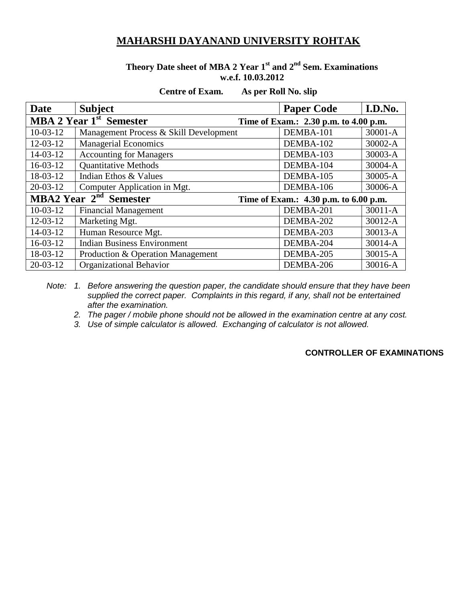## **MAHARSHI DAYANAND UNIVERSITY ROHTAK**

### **Theory Date sheet of MBA 2 Year 1st and 2nd Sem. Examinations w.e.f. 10.03.2012**

#### **Centre of Exam. As per Roll No. slip**

| <b>Date</b>                                                                            | <b>Subject</b>                         | <b>Paper Code</b> | I.D.No.     |
|----------------------------------------------------------------------------------------|----------------------------------------|-------------------|-------------|
| MBA 2 Year 1 <sup>st</sup> Semester<br>Time of Exam.: 2.30 p.m. to 4.00 p.m.           |                                        |                   |             |
| $10-03-12$                                                                             | Management Process & Skill Development | DEMBA-101         | $30001 - A$ |
| $12 - 03 - 12$                                                                         | <b>Managerial Economics</b>            | DEMBA-102         | 30002-A     |
| 14-03-12                                                                               | <b>Accounting for Managers</b>         | DEMBA-103         | 30003-A     |
| $16-03-12$                                                                             | <b>Quantitative Methods</b>            | DEMBA-104         | 30004-A     |
| 18-03-12                                                                               | Indian Ethos & Values                  | DEMBA-105         | 30005-A     |
| $20-03-12$                                                                             | Computer Application in Mgt.           | DEMBA-106         | 30006-A     |
| <b>MBA2 Year <math>2^{nd}</math> Semester</b><br>Time of Exam.: 4.30 p.m. to 6.00 p.m. |                                        |                   |             |
| $10-03-12$                                                                             | <b>Financial Management</b>            | DEMBA-201         | $30011 - A$ |
| $12 - 03 - 12$                                                                         | Marketing Mgt.                         | DEMBA-202         | 30012-A     |
| 14-03-12                                                                               | Human Resource Mgt.                    | DEMBA-203         | 30013-A     |
| $16-03-12$                                                                             | <b>Indian Business Environment</b>     | DEMBA-204         | 30014-A     |
| 18-03-12                                                                               | Production & Operation Management      | DEMBA-205         | 30015-A     |
| $20 - 03 - 12$                                                                         | <b>Organizational Behavior</b>         | DEMBA-206         | 30016-A     |

*Note: 1. Before answering the question paper, the candidate should ensure that they have been supplied the correct paper. Complaints in this regard, if any, shall not be entertained after the examination.*

*2. The pager / mobile phone should not be allowed in the examination centre at any cost.*

*3. Use of simple calculator is allowed. Exchanging of calculator is not allowed.*

#### **CONTROLLER OF EXAMINATIONS**